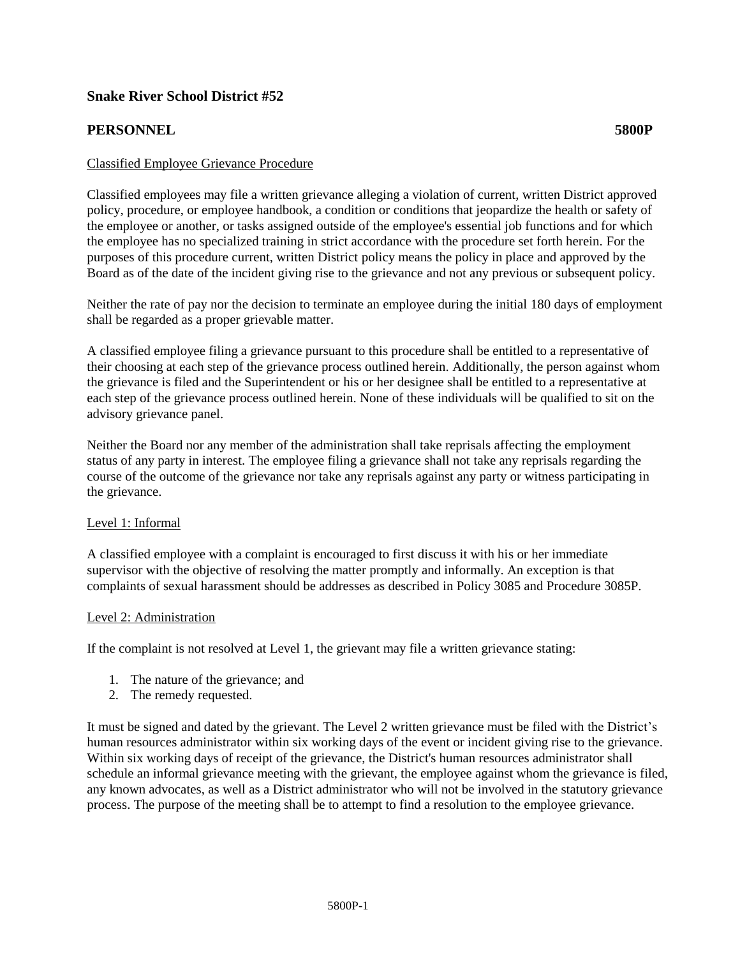# **Snake River School District #52**

# **PERSONNEL 5800P**

## Classified Employee Grievance Procedure

Classified employees may file a written grievance alleging a violation of current, written District approved policy, procedure, or employee handbook, a condition or conditions that jeopardize the health or safety of the employee or another, or tasks assigned outside of the employee's essential job functions and for which the employee has no specialized training in strict accordance with the procedure set forth herein. For the purposes of this procedure current, written District policy means the policy in place and approved by the Board as of the date of the incident giving rise to the grievance and not any previous or subsequent policy.

Neither the rate of pay nor the decision to terminate an employee during the initial 180 days of employment shall be regarded as a proper grievable matter.

A classified employee filing a grievance pursuant to this procedure shall be entitled to a representative of their choosing at each step of the grievance process outlined herein. Additionally, the person against whom the grievance is filed and the Superintendent or his or her designee shall be entitled to a representative at each step of the grievance process outlined herein. None of these individuals will be qualified to sit on the advisory grievance panel.

Neither the Board nor any member of the administration shall take reprisals affecting the employment status of any party in interest. The employee filing a grievance shall not take any reprisals regarding the course of the outcome of the grievance nor take any reprisals against any party or witness participating in the grievance.

#### Level 1: Informal

A classified employee with a complaint is encouraged to first discuss it with his or her immediate supervisor with the objective of resolving the matter promptly and informally. An exception is that complaints of sexual harassment should be addresses as described in Policy 3085 and Procedure 3085P.

#### Level 2: Administration

If the complaint is not resolved at Level 1, the grievant may file a written grievance stating:

- 1. The nature of the grievance; and
- 2. The remedy requested.

It must be signed and dated by the grievant. The Level 2 written grievance must be filed with the District's human resources administrator within six working days of the event or incident giving rise to the grievance. Within six working days of receipt of the grievance, the District's human resources administrator shall schedule an informal grievance meeting with the grievant, the employee against whom the grievance is filed, any known advocates, as well as a District administrator who will not be involved in the statutory grievance process. The purpose of the meeting shall be to attempt to find a resolution to the employee grievance.